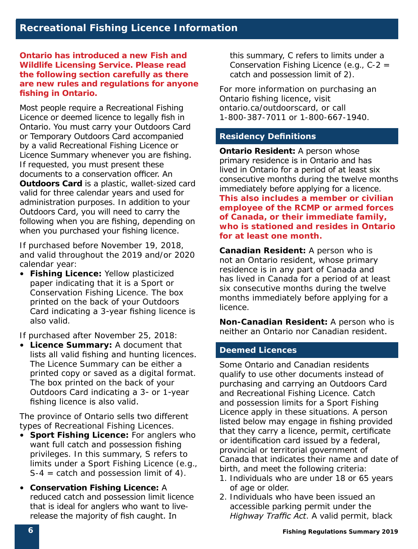**Ontario has introduced a new Fish and Wildlife Licensing Service. Please read the following section carefully as there are new rules and regulations for anyone fishing in Ontario.** 

Most people require a Recreational Fishing Licence or deemed licence to legally fish in Ontario. You must carry your Outdoors Card or Temporary Outdoors Card accompanied by a valid Recreational Fishing Licence or Licence Summary whenever you are fishing. If requested, you must present these documents to a conservation officer. An **Outdoors Card** is a plastic, wallet-sized card valid for three calendar years and used for administration purposes. In addition to your Outdoors Card, you will need to carry the following when you are fishing, depending on when you purchased your fishing licence.

If purchased before November 19, 2018, and valid throughout the 2019 and/or 2020 calendar year:

• **Fishing Licence:** Yellow plasticized paper indicating that it is a Sport or Conservation Fishing Licence. The box printed on the back of your Outdoors Card indicating a 3-year fishing licence is also valid.

If purchased after November 25, 2018:

• **Licence Summary:** A document that lists all valid fishing and hunting licences. The Licence Summary can be either a printed copy or saved as a digital format. The box printed on the back of your Outdoors Card indicating a 3- or 1-year fishing licence is also valid.

The province of Ontario sells two different types of Recreational Fishing Licences.

- **Sport Fishing Licence:** For anglers who want full catch and possession fishing privileges. In this summary, S refers to limits under a Sport Fishing Licence (e.g.,  $S-4 = \text{catch}$  and possession limit of 4).
- **Conservation Fishing Licence:** A reduced catch and possession limit licence that is ideal for anglers who want to liverelease the majority of fish caught. In

this summary, C refers to limits under a Conservation Fishing Licence (e.g., C-2 = catch and possession limit of 2).

For more information on purchasing an Ontario fishing licence, visit ontario.ca/outdoorscard, or call 1-800-387-7011 or 1-800-667-1940.

#### **Residency Definitions**

**Ontario Resident: A person whose** primary residence is in Ontario and has lived in Ontario for a period of at least six consecutive months during the twelve months immediately before applying for a licence. **This also includes a member or civilian employee of the RCMP or armed forces of Canada, or their immediate family, who is stationed and resides in Ontario for at least one month.** 

**Canadian Resident:** A person who is not an Ontario resident, whose primary residence is in any part of Canada and has lived in Canada for a period of at least six consecutive months during the twelve months immediately before applying for a licence.

**Non-Canadian Resident:** A person who is neither an Ontario nor Canadian resident.

#### **Deemed Licences**

Some Ontario and Canadian residents qualify to use other documents instead of purchasing and carrying an Outdoors Card and Recreational Fishing Licence. Catch and possession limits for a Sport Fishing Licence apply in these situations. A person listed below may engage in fishing provided that they carry a licence, permit, certificate or identification card issued by a federal, provincial or territorial government of Canada that indicates their name and date of birth, and meet the following criteria:

- 1. Individuals who are under 18 or 65 years of age or older.
- 2. Individuals who have been issued an accessible parking permit under the *Highway Traffic Act*. A valid permit, black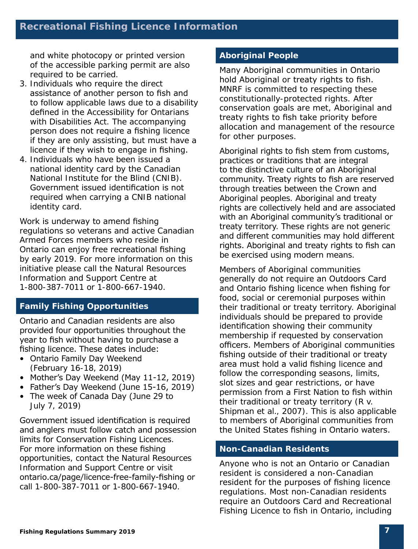and white photocopy or printed version of the accessible parking permit are also required to be carried.

- 3. Individuals who require the direct assistance of another person to fish and to follow applicable laws due to a disability defined in the *Accessibility for Ontarians with Disabilities Act*. The accompanying person does not require a fishing licence if they are only assisting, but must have a licence if they wish to engage in fishing.
- 4. Individuals who have been issued a national identity card by the Canadian National Institute for the Blind (CNIB). Government issued identification is not required when carrying a CNIB national identity card.

Work is underway to amend fishing regulations so veterans and active Canadian Armed Forces members who reside in Ontario can enjoy free recreational fishing by early 2019. For more information on this initiative please call the Natural Resources Information and Support Centre at 1-800-387-7011 or 1-800-667-1940.

#### **Family Fishing Opportunities**

Ontario and Canadian residents are also provided four opportunities throughout the year to fish without having to purchase a fishing licence. These dates include:

- Ontario Family Day Weekend (February 16-18, 2019)
- Mother's Day Weekend (May 11-12, 2019)
- Father's Day Weekend (June 15-16, 2019)
- The week of Canada Day (June 29 to July 7, 2019)

Government issued identification is required and anglers must follow catch and possession limits for Conservation Fishing Licences. For more information on these fishing opportunities, contact the Natural Resources Information and Support Centre or visit ontario.ca/page/licence-free-family-fishing or call 1-800-387-7011 or 1-800-667-1940.

#### **Aboriginal People**

Many Aboriginal communities in Ontario hold Aboriginal or treaty rights to fish. MNRF is committed to respecting these constitutionally-protected rights. After conservation goals are met, Aboriginal and treaty rights to fish take priority before allocation and management of the resource for other purposes.

Aboriginal rights to fish stem from customs, practices or traditions that are integral to the distinctive culture of an Aboriginal community. Treaty rights to fish are reserved through treaties between the Crown and Aboriginal peoples. Aboriginal and treaty rights are collectively held and are associated with an Aboriginal community's traditional or treaty territory. These rights are not generic and different communities may hold different rights. Aboriginal and treaty rights to fish can be exercised using modern means.

Members of Aboriginal communities generally do not require an Outdoors Card and Ontario fishing licence when fishing for food, social or ceremonial purposes within their traditional or treaty territory. Aboriginal individuals should be prepared to provide identification showing their community membership if requested by conservation officers. Members of Aboriginal communities fishing outside of their traditional or treaty area must hold a valid fishing licence and follow the corresponding seasons, limits, slot sizes and gear restrictions, or have permission from a First Nation to fish within their traditional or treaty territory (R v. Shipman et al., 2007). This is also applicable to members of Aboriginal communities from the United States fishing in Ontario waters.

#### **Non-Canadian Residents**

Anyone who is not an Ontario or Canadian resident is considered a non-Canadian resident for the purposes of fishing licence regulations. Most non-Canadian residents require an Outdoors Card and Recreational Fishing Licence to fish in Ontario, including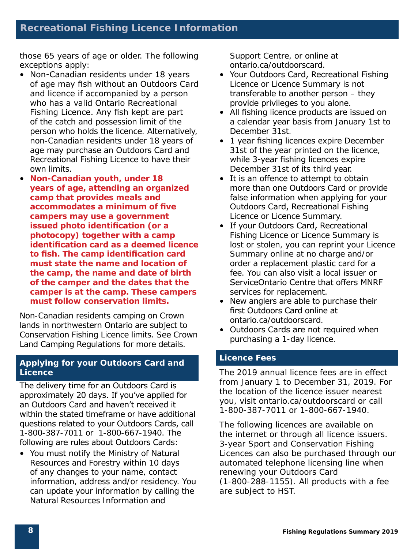those 65 years of age or older. The following exceptions apply:

- Non-Canadian residents under 18 years of age may fish without an Outdoors Card and licence if accompanied by a person who has a valid Ontario Recreational Fishing Licence. Any fish kept are part of the catch and possession limit of the person who holds the licence. Alternatively, non-Canadian residents under 18 years of age may purchase an Outdoors Card and Recreational Fishing Licence to have their own limits.
- **Non-Canadian youth, under 18 years of age, attending an organized camp that provides meals and accommodates a minimum of five campers may use a government issued photo identification (or a photocopy) together with a camp identification card as a deemed licence to fish. The camp identification card must state the name and location of the camp, the name and date of birth of the camper and the dates that the camper is at the camp. These campers must follow conservation limits.**

Non-Canadian residents camping on Crown lands in northwestern Ontario are subject to Conservation Fishing Licence limits. See Crown Land Camping Regulations for more details.

#### **Applying for your Outdoors Card and Licence**

The delivery time for an Outdoors Card is approximately 20 days. If you've applied for an Outdoors Card and haven't received it within the stated timeframe or have additional questions related to your Outdoors Cards, call 1-800-387-7011 or 1-800-667-1940. The following are rules about Outdoors Cards:

• You must notify the Ministry of Natural Resources and Forestry within 10 days of any changes to your name, contact information, address and/or residency. You can update your information by calling the Natural Resources Information and

Support Centre, or online at ontario.ca/outdoorscard.

- Your Outdoors Card, Recreational Fishing Licence or Licence Summary is not transferable to another person – they provide privileges to you alone.
- All fishing licence products are issued on a calendar year basis from January 1st to December 31st.
- 1 year fishing licences expire December 31st of the year printed on the licence, while 3-year fishing licences expire December 31st of its third year.
- It is an offence to attempt to obtain more than one Outdoors Card or provide false information when applying for your Outdoors Card, Recreational Fishing Licence or Licence Summary.
- If your Outdoors Card, Recreational Fishing Licence or Licence Summary is lost or stolen, you can reprint your Licence Summary online at no charge and/or order a replacement plastic card for a fee. You can also visit a local issuer or ServiceOntario Centre that offers MNRF services for replacement.
- New anglers are able to purchase their first Outdoors Card online at ontario.ca/outdoorscard.
- Outdoors Cards are not required when purchasing a 1-day licence.

#### **Licence Fees**

The 2019 annual licence fees are in effect from January 1 to December 31, 2019. For the location of the licence issuer nearest you, visit ontario.ca/outdoorscard or call 1-800-387-7011 or 1-800-667-1940.

The following licences are available on the internet or through all licence issuers. 3-year Sport and Conservation Fishing Licences can also be purchased through our automated telephone licensing line when renewing your Outdoors Card (1-800-288-1155). All products with a fee are subject to HST.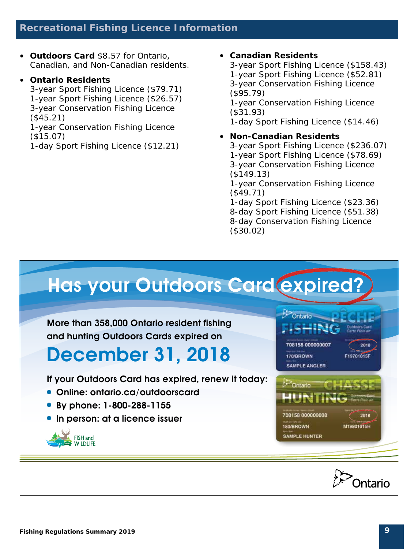#### **Recreational Fishing Licence Information**

• **Outdoors Card** \$8.57 for Ontario, Canadian, and Non-Canadian residents.

#### • **Ontario Residents**

3-year Sport Fishing Licence (\$79.71) 1-year Sport Fishing Licence (\$26.57) 3-year Conservation Fishing Licence (\$45.21)

1-year Conservation Fishing Licence (\$15.07)

1-day Sport Fishing Licence (\$12.21)

#### • **Canadian Residents**

3-year Sport Fishing Licence (\$158.43) 1-year Sport Fishing Licence (\$52.81) 3-year Conservation Fishing Licence (\$95.79) 1-year Conservation Fishing Licence (\$31.93)

1-day Sport Fishing Licence (\$14.46)

#### • **Non-Canadian Residents**

3-year Sport Fishing Licence (\$236.07) 1-year Sport Fishing Licence (\$78.69) 3-year Conservation Fishing Licence (\$149.13) 1-year Conservation Fishing Licence

(\$49.71)

1-day Sport Fishing Licence (\$23.36) 8-day Sport Fishing Licence (\$51.38) 8-day Conservation Fishing Licence (\$30.02)

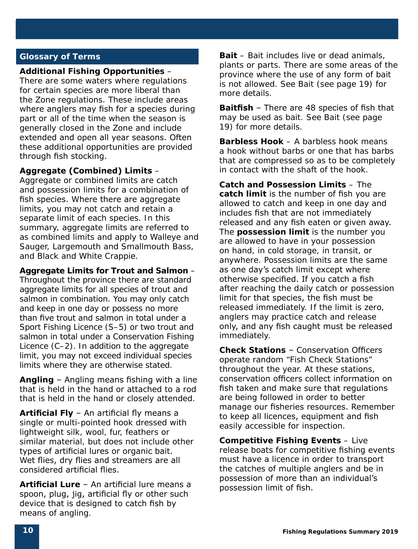#### **Glossary of Terms**

#### **Additional Fishing Opportunities** –

There are some waters where regulations for certain species are more liberal than the Zone regulations. These include areas where anglers may fish for a species during part or all of the time when the season is generally closed in the Zone and include extended and open all year seasons. Often these additional opportunities are provided through fish stocking.

#### **Aggregate (Combined) Limits** –

Aggregate or combined limits are catch and possession limits for a combination of fish species. Where there are aggregate limits, you may not catch and retain a separate limit of each species. In this summary, aggregate limits are referred to as combined limits and apply to Walleye and Sauger, Largemouth and Smallmouth Bass, and Black and White Crappie.

#### **Aggregate Limits for Trout and Salmon** –

Throughout the province there are standard aggregate limits for all species of trout and salmon in combination. You may only catch and keep in one day or possess no more than five trout and salmon in total under a Sport Fishing Licence (S–5) or two trout and salmon in total under a Conservation Fishing Licence (C–2). In addition to the aggregate limit, you may not exceed individual species limits where they are otherwise stated.

**Angling** – Angling means fishing with a line that is held in the hand or attached to a rod that is held in the hand or closely attended.

**Artificial Fly** – An artificial fly means a single or multi-pointed hook dressed with lightweight silk, wool, fur, feathers or similar material, but does not include other types of artificial lures or organic bait. Wet flies, dry flies and streamers are all considered artificial flies.

**Artificial Lure** – An artificial lure means a spoon, plug, jig, artificial fly or other such device that is designed to catch fish by means of angling.

**Bait** – Bait includes live or dead animals, plants or parts. There are some areas of the province where the use of any form of bait is not allowed. See Bait (see page 19) for more details.

**Baitfish** – There are 48 species of fish that may be used as bait. See Bait (see page 19) for more details.

**Barbless Hook** – A barbless hook means a hook without barbs or one that has barbs that are compressed so as to be completely in contact with the shaft of the hook.

**Catch and Possession Limits** – The **catch limit** is the number of fish you are allowed to catch and keep in one day and includes fish that are not immediately released and any fish eaten or given away. The **possession limit** is the number you are allowed to have in your possession on hand, in cold storage, in transit, or anywhere. Possession limits are the same as one day's catch limit except where otherwise specified. If you catch a fish after reaching the daily catch or possession limit for that species, the fish must be released immediately. If the limit is zero, anglers may practice catch and release only, and any fish caught must be released immediately.

**Check Stations** – Conservation Officers operate random "Fish Check Stations" throughout the year. At these stations, conservation officers collect information on fish taken and make sure that regulations are being followed in order to better manage our fisheries resources. Remember to keep all licences, equipment and fish easily accessible for inspection.

**Competitive Fishing Events** – Live release boats for competitive fishing events must have a licence in order to transport the catches of multiple anglers and be in possession of more than an individual's possession limit of fish.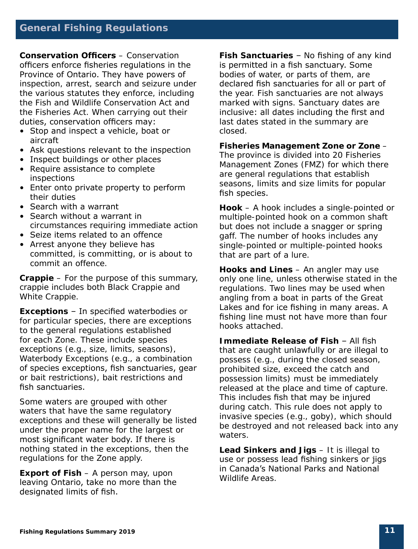#### **General Fishing Regulations**

**Conservation Officers** – Conservation officers enforce fisheries regulations in the Province of Ontario. They have powers of inspection, arrest, search and seizure under the various statutes they enforce, including the *Fish and Wildlife Conservation Act* and the *Fisheries Act*. When carrying out their duties, conservation officers may:

- Stop and inspect a vehicle, boat or aircraft
- Ask questions relevant to the inspection
- Inspect buildings or other places
- Require assistance to complete inspections
- Enter onto private property to perform their duties
- Search with a warrant
- Search without a warrant in circumstances requiring immediate action
- Seize items related to an offence
- Arrest anyone they believe has committed, is committing, or is about to commit an offence.

**Crappie** – For the purpose of this summary, crappie includes both Black Crappie and White Crappie.

**Exceptions** – In specified waterbodies or for particular species, there are exceptions to the general regulations established for each Zone. These include species exceptions (e.g., size, limits, seasons), Waterbody Exceptions (e.g., a combination of species exceptions, fish sanctuaries, gear or bait restrictions), bait restrictions and fish sanctuaries.

Some waters are grouped with other waters that have the same regulatory exceptions and these will generally be listed under the proper name for the largest or most significant water body. If there is nothing stated in the exceptions, then the regulations for the Zone apply.

**Export of Fish** – A person may, upon leaving Ontario, take no more than the designated limits of fish.

**Fish Sanctuaries** – No fishing of any kind is permitted in a fish sanctuary. Some bodies of water, or parts of them, are declared fish sanctuaries for all or part of the year. Fish sanctuaries are not always marked with signs. Sanctuary dates are inclusive: all dates including the first and last dates stated in the summary are closed.

#### **Fisheries Management Zone or Zone** –

The province is divided into 20 Fisheries Management Zones (FMZ) for which there are general regulations that establish seasons, limits and size limits for popular fish species.

**Hook** – A hook includes a single-pointed or multiple-pointed hook on a common shaft but does not include a snagger or spring gaff. The number of hooks includes any single-pointed or multiple-pointed hooks that are part of a lure.

**Hooks and Lines** – An angler may use only one line, unless otherwise stated in the regulations. Two lines may be used when angling from a boat in parts of the Great Lakes and for ice fishing in many areas. A fishing line must not have more than four hooks attached.

**Immediate Release of Fish** – All fish that are caught unlawfully or are illegal to possess (e.g., during the closed season, prohibited size, exceed the catch and possession limits) must be immediately released at the place and time of capture. This includes fish that may be injured during catch. This rule does not apply to invasive species (e.g., goby), which should be destroyed and not released back into any waters.

**Lead Sinkers and Jigs** – It is illegal to use or possess lead fishing sinkers or jigs in Canada's National Parks and National Wildlife Areas.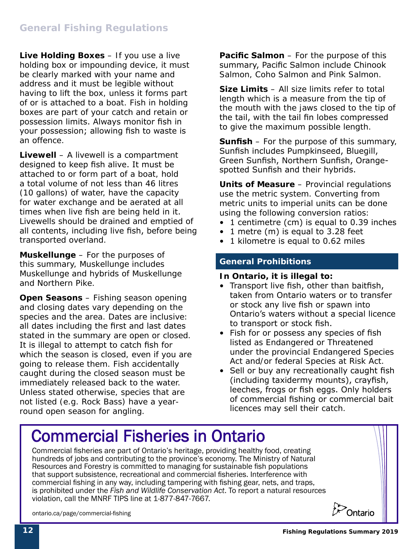**Live Holding Boxes** – If you use a live holding box or impounding device, it must be clearly marked with your name and address and it must be legible without having to lift the box, unless it forms part of or is attached to a boat. Fish in holding boxes are part of your catch and retain or possession limits. Always monitor fish in your possession; allowing fish to waste is an offence.

**Livewell** – A livewell is a compartment designed to keep fish alive. It must be attached to or form part of a boat, hold a total volume of not less than 46 litres (10 gallons) of water, have the capacity for water exchange and be aerated at all times when live fish are being held in it. Livewells should be drained and emptied of all contents, including live fish, before being transported overland.

**Muskellunge** – For the purposes of this summary, Muskellunge includes Muskellunge and hybrids of Muskellunge and Northern Pike.

**Open Seasons** – Fishing season opening and closing dates vary depending on the species and the area. Dates are inclusive: all dates including the first and last dates stated in the summary are open or closed. It is illegal to attempt to catch fish for which the season is closed, even if you are going to release them. Fish accidentally caught during the closed season must be immediately released back to the water. Unless stated otherwise, species that are not listed (e.g. Rock Bass) have a yearround open season for angling.

**Pacific Salmon** – For the purpose of this summary, Pacific Salmon include Chinook Salmon, Coho Salmon and Pink Salmon.

**Size Limits** – All size limits refer to total length which is a measure from the tip of the mouth with the jaws closed to the tip of the tail, with the tail fin lobes compressed to give the maximum possible length.

**Sunfish** – For the purpose of this summary, Sunfish includes Pumpkinseed, Bluegill, Green Sunfish, Northern Sunfish, Orangespotted Sunfish and their hybrids.

**Units of Measure** – Provincial regulations use the metric system. Converting from metric units to imperial units can be done using the following conversion ratios:

- 1 centimetre (cm) is equal to 0.39 inches
- 1 metre (m) is equal to 3.28 feet
- 1 kilometre is equal to 0.62 miles

#### **General Prohibitions**

#### **In Ontario, it is illegal to:**

- Transport live fish, other than baitfish, taken from Ontario waters or to transfer or stock any live fish or spawn into Ontario's waters without a special licence to transport or stock fish.
- Fish for or possess any species of fish listed as Endangered or Threatened under the provincial *Endangered Species Act* and/or federal *Species at Risk Act*.
- Sell or buy any recreationally caught fish (including taxidermy mounts), crayfish, leeches, frogs or fish eggs. Only holders of commercial fishing or commercial bait licences may sell their catch.

### Commercial Fisheries in Ontario

Resources and Forestry is committed to managing for sustainable fish populations that support subsistence, recreational and commercial fisheries. Interference with commercial nating in any way, including tampering with nating gear, rices, and traps,<br>is prohibited under the *Fish and Wildlife Conservation Act*. To report a natural resources violation, call the MNRF TIPS line at 1-877-847-7667. Commercial fisheries are part of Ontario's heritage, providing healthy food, creating hundreds of jobs and contributing to the province's economy. The Ministry of Natural commercial fishing in any way, including tampering with fishing gear, nets, and traps,



ontario.ca/page/commercial-fishing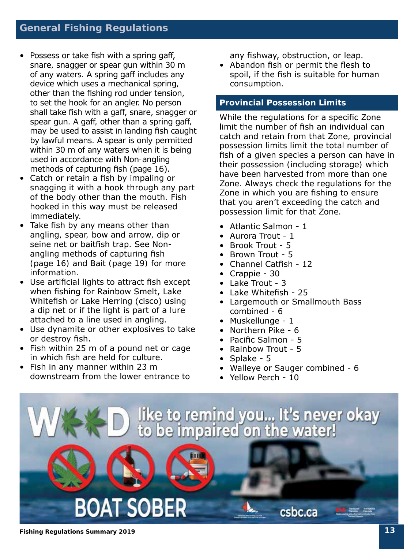- Possess or take fish with a spring gaff, snare, snagger or spear gun within 30 m of any waters. A spring gaff includes any device which uses a mechanical spring, other than the fishing rod under tension, to set the hook for an angler. No person shall take fish with a gaff, snare, snagger or spear gun. A gaff, other than a spring gaff, may be used to assist in landing fish caught by lawful means. A spear is only permitted within 30 m of any waters when it is being used in accordance with Non-angling methods of capturing fish (page 16).
- Catch or retain a fish by impaling or snagging it with a hook through any part of the body other than the mouth. Fish hooked in this way must be released immediately.
- Take fish by any means other than angling, spear, bow and arrow, dip or seine net or baitfish trap. See Nonangling methods of capturing fish (page 16) and Bait (page 19) for more information.
- Use artificial lights to attract fish except when fishing for Rainbow Smelt, Lake Whitefish or Lake Herring (cisco) using a dip net or if the light is part of a lure attached to a line used in angling.
- Use dynamite or other explosives to take or destroy fish.
- Fish within 25 m of a pound net or cage in which fish are held for culture.
- Fish in any manner within 23 m downstream from the lower entrance to

any fishway, obstruction, or leap.

• Abandon fish or permit the flesh to spoil, if the fish is suitable for human consumption.

#### **Provincial Possession Limits**

While the regulations for a specific Zone limit the number of fish an individual can catch and retain from that Zone, provincial possession limits limit the total number of fish of a given species a person can have in their possession (including storage) which have been harvested from more than one Zone. Always check the regulations for the Zone in which you are fishing to ensure that you aren't exceeding the catch and possession limit for that Zone.

- Atlantic Salmon 1
- Aurora Trout 1
- Brook Trout 5
- Brown Trout 5
- Channel Catfish 12
- Crappie 30
- Lake Trout 3
- Lake Whitefish 25
- Largemouth or Smallmouth Bass combined - 6
- Muskellunge 1
- Northern Pike 6
- Pacific Salmon 5
- Rainbow Trout 5
- Splake 5
- Walleye or Sauger combined 6
- Yellow Perch 10

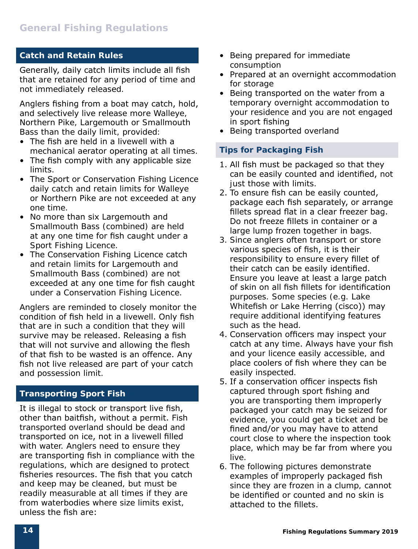#### **Catch and Retain Rules**

Generally, daily catch limits include all fish that are retained for any period of time and not immediately released.

Anglers fishing from a boat may catch, hold, and selectively live release more Walleye, Northern Pike, Largemouth or Smallmouth Bass than the daily limit, provided:

- The fish are held in a livewell with a mechanical aerator operating at all times.
- The fish comply with any applicable size limits.
- The Sport or Conservation Fishing Licence daily catch and retain limits for Walleye or Northern Pike are not exceeded at any one time.
- No more than six Largemouth and Smallmouth Bass (combined) are held at any one time for fish caught under a Sport Fishing Licence.
- The Conservation Fishing Licence catch and retain limits for Largemouth and Smallmouth Bass (combined) are not exceeded at any one time for fish caught under a Conservation Fishing Licence.

Anglers are reminded to closely monitor the condition of fish held in a livewell. Only fish that are in such a condition that they will survive may be released. Releasing a fish that will not survive and allowing the flesh of that fish to be wasted is an offence. Any fish not live released are part of your catch and possession limit.

#### **Transporting Sport Fish**

It is illegal to stock or transport live fish, other than baitfish, without a permit. Fish transported overland should be dead and transported on ice, not in a livewell filled with water. Anglers need to ensure they are transporting fish in compliance with the regulations, which are designed to protect fisheries resources. The fish that you catch and keep may be cleaned, but must be readily measurable at all times if they are from waterbodies where size limits exist, unless the fish are:

- Being prepared for immediate consumption
- Prepared at an overnight accommodation for storage
- Being transported on the water from a temporary overnight accommodation to your residence and you are not engaged in sport fishing
- Being transported overland

#### **Tips for Packaging Fish**

- 1. All fish must be packaged so that they can be easily counted and identified, not just those with limits.
- 2. To ensure fish can be easily counted, package each fish separately, or arrange fillets spread flat in a clear freezer bag. Do not freeze fillets in container or a large lump frozen together in bags.
- 3. Since anglers often transport or store various species of fish, it is their responsibility to ensure every fillet of their catch can be easily identified. Ensure you leave at least a large patch of skin on all fish fillets for identification purposes. Some species (e.g. Lake Whitefish or Lake Herring (cisco)) may require additional identifying features such as the head.
- 4. Conservation officers may inspect your catch at any time. Always have your fish and your licence easily accessible, and place coolers of fish where they can be easily inspected.
- 5. If a conservation officer inspects fish captured through sport fishing and you are transporting them improperly packaged your catch may be seized for evidence, you could get a ticket and be fined and/or you may have to attend court close to where the inspection took place, which may be far from where you live.
- 6. The following pictures demonstrate examples of improperly packaged fish since they are frozen in a clump, cannot be identified or counted and no skin is attached to the fillets.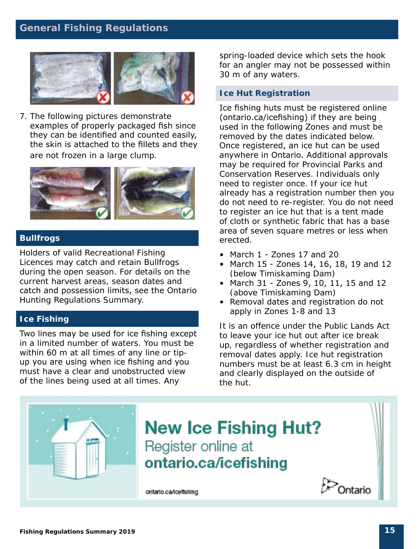#### **General Fishing Regulations**



7. The following pictures demonstrate examples of properly packaged fish since they can be identified and counted easily, the skin is attached to the fillets and they are not frozen in a large clump.



#### **Bullfrogs**

Holders of valid Recreational Fishing Licences may catch and retain Bullfrogs during the open season. For details on the current harvest areas, season dates and catch and possession limits, see the Ontario Hunting Regulations Summary.

#### **Ice Fishing**

Two lines may be used for ice fishing except in a limited number of waters. You must be within 60 m at all times of any line or tipup you are using when ice fishing and you must have a clear and unobstructed view of the lines being used at all times. Any

spring-loaded device which sets the hook for an angler may not be possessed within 30 m of any waters.

#### **Ice Hut Registration**

Ice fishing huts must be registered online (ontario.ca/icefishing) if they are being used in the following Zones and must be removed by the dates indicated below. Once registered, an ice hut can be used anywhere in Ontario. Additional approvals may be required for Provincial Parks and Conservation Reserves. Individuals only need to register once. If your ice hut already has a registration number then you do not need to re-register. You do not need to register an ice hut that is a tent made of cloth or synthetic fabric that has a base area of seven square metres or less when erected.

- March 1 Zones 17 and 20
- March 15 Zones 14, 16, 18, 19 and 12 (below Timiskaming Dam)
- March 31 Zones 9, 10, 11, 15 and 12 (above Timiskaming Dam)
- Removal dates and registration do not apply in Zones 1-8 and 13

It is an offence under the Public Lands Act to leave your ice hut out after ice break up, regardless of whether registration and removal dates apply. Ice hut registration numbers must be at least 6.3 cm in height and clearly displayed on the outside of the hut.

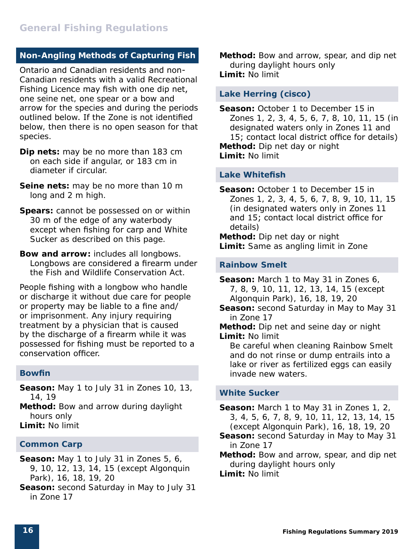#### **Non-Angling Methods of Capturing Fish**

Ontario and Canadian residents and non-Canadian residents with a valid Recreational Fishing Licence may fish with one dip net, one seine net, one spear or a bow and arrow for the species and during the periods outlined below. If the Zone is not identified below, then there is no open season for that species.

- **Dip nets:** may be no more than 183 cm on each side if angular, or 183 cm in diameter if circular.
- **Seine nets:** may be no more than 10 m long and 2 m high.
- **Spears:** cannot be possessed on or within 30 m of the edge of any waterbody except when fishing for carp and White Sucker as described on this page.
- **Bow and arrow:** includes all longbows. Longbows are considered a firearm under the *Fish and Wildlife Conservation Act*.

People fishing with a longbow who handle or discharge it without due care for people or property may be liable to a fine and/ or imprisonment. Any injury requiring treatment by a physician that is caused by the discharge of a firearm while it was possessed for fishing must be reported to a conservation officer.

#### **Bowfin**

**Season:** May 1 to July 31 in Zones 10, 13, 14, 19

**Method:** Bow and arrow during daylight hours only

**Limit:** No limit

#### **Common Carp**

- **Season:** May 1 to July 31 in Zones 5, 6, 9, 10, 12, 13, 14, 15 (except Algonquin Park), 16, 18, 19, 20
- **Season:** second Saturday in May to July 31 in Zone 17

**Method:** Bow and arrow, spear, and dip net during daylight hours only **Limit:** No limit

#### **Lake Herring (cisco)**

**Season:** October 1 to December 15 in Zones 1, 2, 3, 4, 5, 6, 7, 8, 10, 11, 15 (in designated waters only in Zones 11 and 15; contact local district office for details) **Method:** Dip net day or night

**Limit:** No limit

#### **Lake Whitefish**

**Season:** October 1 to December 15 in Zones 1, 2, 3, 4, 5, 6, 7, 8, 9, 10, 11, 15 (in designated waters only in Zones 11 and 15; contact local district office for details)

**Method:** Dip net day or night **Limit:** Same as angling limit in Zone

#### **Rainbow Smelt**

**Season:** March 1 to May 31 in Zones 6, 7, 8, 9, 10, 11, 12, 13, 14, 15 (except Algonquin Park), 16, 18, 19, 20

**Season:** second Saturday in May to May 31 in Zone 17

**Method:** Dip net and seine day or night **Limit:** No limit

 Be careful when cleaning Rainbow Smelt and do not rinse or dump entrails into a lake or river as fertilized eggs can easily invade new waters.

#### **White Sucker**

**Season:** March 1 to May 31 in Zones 1, 2, 3, 4, 5, 6, 7, 8, 9, 10, 11, 12, 13, 14, 15 (except Algonquin Park), 16, 18, 19, 20

- **Season:** second Saturday in May to May 31 in Zone 17
- **Method:** Bow and arrow, spear, and dip net during daylight hours only

**Limit:** No limit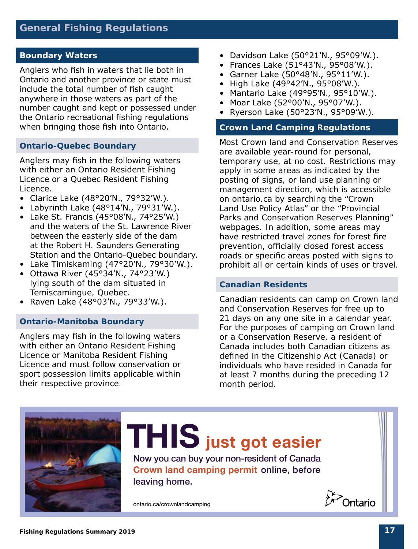#### **Boundary Waters**

Anglers who fish in waters that lie both in Ontario and another province or state must include the total number of fish caught anywhere in those waters as part of the number caught and kept or possessed under the Ontario recreational fishing regulations when bringing those fish into Ontario.

#### **Ontario-Quebec Boundary**

Anglers may fish in the following waters with either an Ontario Resident Fishing Licence or a Quebec Resident Fishing Licence.

- Clarice Lake (48°20'N., 79°32'W.).
- Labyrinth Lake  $(48°14'N., 79°31'W.).$
- Lake St. Francis (45°08'N., 74°25'W.) and the waters of the St. Lawrence River between the easterly side of the dam at the Robert H. Saunders Generating Station and the Ontario-Quebec boundary.
- Lake Timiskaming (47°20'N., 79°30'W.).
- Ottawa River (45°34'N., 74°23'W.) lying south of the dam situated in Temiscamingue, Quebec.
- Raven Lake (48°03'N., 79°33'W.).

#### **Ontario-Manitoba Boundary**

Anglers may fish in the following waters with either an Ontario Resident Fishing Licence or Manitoba Resident Fishing Licence and must follow conservation or sport possession limits applicable within their respective province.

- Davidson Lake (50°21'N., 95°09'W.).
- Frances Lake (51°43'N., 95°08'W.).
- Garner Lake (50°48'N., 95°11'W.).
- High Lake (49°42'N., 95°08'W.).
- Mantario Lake (49°95'N., 95°10'W.).
- Moar Lake (52°00'N., 95°07'W.).
- Ryerson Lake (50°23'N., 95°09'W.).

#### **Crown Land Camping Regulations**

Most Crown land and Conservation Reserves are available year-round for personal, temporary use, at no cost. Restrictions may apply in some areas as indicated by the posting of signs, or land use planning or management direction, which is accessible on ontario.ca by searching the "Crown Land Use Policy Atlas" or the "Provincial Parks and Conservation Reserves Planning" webpages. In addition, some areas may have restricted travel zones for forest fire prevention, officially closed forest access roads or specific areas posted with signs to prohibit all or certain kinds of uses or travel.

#### **Canadian Residents**

Canadian residents can camp on Crown land and Conservation Reserves for free up to 21 days on any one site in a calendar year. For the purposes of camping on Crown land or a Conservation Reserve, a resident of Canada includes both Canadian citizens as defined in the *Citizenship Act* (Canada) or individuals who have resided in Canada for at least 7 months during the preceding 12 month period.

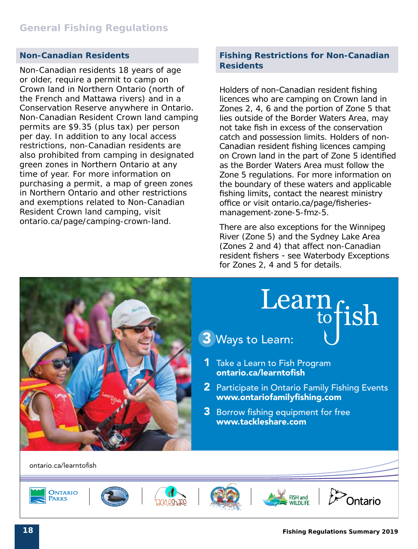#### **Non-Canadian Residents**

Non-Canadian residents 18 years of age or older, require a permit to camp on Crown land in Northern Ontario (north of the French and Mattawa rivers) and in a Conservation Reserve anywhere in Ontario. Non-Canadian Resident Crown land camping permits are \$9.35 (plus tax) per person per day. In addition to any local access restrictions, non-Canadian residents are also prohibited from camping in designated green zones in Northern Ontario at any time of year. For more information on purchasing a permit, a map of green zones in Northern Ontario and other restrictions and exemptions related to Non-Canadian Resident Crown land camping, visit [ontario.ca/page/camping-crown-land](http://www.ontario.ca/page/camping-crown-land).

#### **Fishing Restrictions for Non-Canadian Residents**

Holders of non-Canadian resident fishing licences who are camping on Crown land in Zones 2, 4, 6 and the portion of Zone 5 that lies outside of the Border Waters Area, may not take fish in excess of the conservation catch and possession limits. Holders of non-Canadian resident fishing licences camping on Crown land in the part of Zone 5 identified as the Border Waters Area must follow the Zone 5 regulations. For more information on the boundary of these waters and applicable fishing limits, contact the nearest ministry office or visit ontario.ca/page/fisheriesmanagement-zone-5-fmz-5.

There are also exceptions for the Winnipeg River (Zone 5) and the Sydney Lake Area (Zones 2 and 4) that affect non-Canadian resident fishers - see Waterbody Exceptions for Zones 2, 4 and 5 for details.

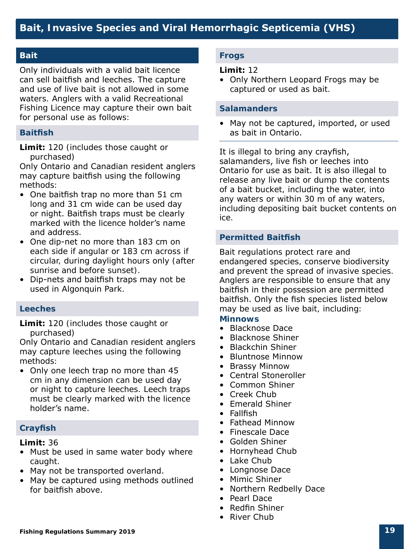#### **Bait**

Only individuals with a valid bait licence can sell baitfish and leeches. The capture and use of live bait is not allowed in some waters. Anglers with a valid Recreational Fishing Licence may capture their own bait for personal use as follows:

#### **Baitfish**

**Limit:** 120 (includes those caught or purchased)

Only Ontario and Canadian resident anglers may capture baitfish using the following methods:

- One baitfish trap no more than 51 cm long and 31 cm wide can be used day or night. Baitfish traps must be clearly marked with the licence holder's name and address.
- One dip-net no more than 183 cm on each side if angular or 183 cm across if circular, during daylight hours only (after sunrise and before sunset).
- Dip-nets and baitfish traps may not be used in Algonquin Park.

#### **Leeches**

**Limit:** 120 (includes those caught or purchased)

Only Ontario and Canadian resident anglers may capture leeches using the following methods:

• Only one leech trap no more than 45 cm in any dimension can be used day or night to capture leeches. Leech traps must be clearly marked with the licence holder's name.

#### **Crayfish**

**Limit:** 36

- Must be used in same water body where caught.
- May not be transported overland.
- May be captured using methods outlined for baitfish above.

#### **Frogs**

#### **Limit:** 12

• Only Northern Leopard Frogs may be captured or used as bait.

#### **Salamanders**

• May not be captured, imported, or used as bait in Ontario.

It is illegal to bring any crayfish, salamanders, live fish or leeches into Ontario for use as bait. It is also illegal to release any live bait or dump the contents of a bait bucket, including the water, into any waters or within 30 m of any waters, including depositing bait bucket contents on ice.

#### **Permitted Baitfish**

Bait regulations protect rare and endangered species, conserve biodiversity and prevent the spread of invasive species. Anglers are responsible to ensure that any baitfish in their possession are permitted baitfish. Only the fish species listed below may be used as live bait, including:

#### **Minnows**

- Blacknose Dace
- Blacknose Shiner
- Blackchin Shiner
- Bluntnose Minnow
- Brassy Minnow
- Central Stoneroller
- Common Shiner
- Creek Chub
- Emerald Shiner
- Fallfish
- Fathead Minnow
- Finescale Dace
- Golden Shiner
- Hornyhead Chub
- Lake Chub
- Longnose Dace
- Mimic Shiner
- Northern Redbelly Dace
- Pearl Dace
- Redfin Shiner
- River Chub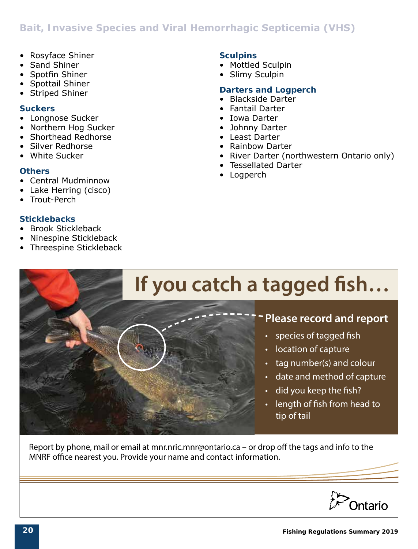#### **Bait, Invasive Species and Viral Hemorrhagic Septicemia (VHS)**

- Rosyface Shiner
- Sand Shiner
- Spotfin Shiner
- Spottail Shiner
- Striped Shiner

#### **Suckers**

- Longnose Sucker
- Northern Hog Sucker
- Shorthead Redhorse
- Silver Redhorse
- White Sucker

#### **Others**

- Central Mudminnow
- Lake Herring (cisco)
- Trout-Perch

#### **Sticklebacks**

- Brook Stickleback
- Ninespine Stickleback
- Threespine Stickleback

#### **Sculpins**

- Mottled Sculpin
- Slimy Sculpin

#### **Darters and Logperch**

- Blackside Darter
- Fantail Darter
- Iowa Darter
- Johnny Darter
- Least Darter
- Rainbow Darter
- River Darter (northwestern Ontario only)
- Tessellated Darter
- Logperch



Report by phone, mail or email at mnr.nric.mnr@ontario.ca – or drop off the tags and info to the MNRF office nearest you. Provide your name and contact information.

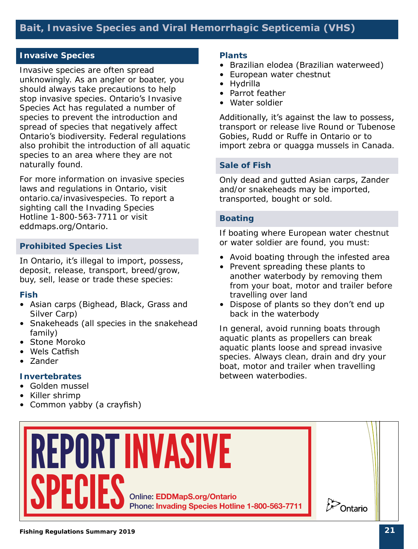#### **Bait, Invasive Species and Viral Hemorrhagic Septicemia (VHS)**

#### **Invasive Species**

Invasive species are often spread unknowingly. As an angler or boater, you should always take precautions to help stop invasive species. Ontario's *Invasive Species Act* has regulated a number of species to prevent the introduction and spread of species that negatively affect Ontario's biodiversity. Federal regulations also prohibit the introduction of all aquatic species to an area where they are not naturally found.

For more information on invasive species laws and regulations in Ontario, visit ontario.ca/invasivespecies. To report a sighting call the Invading Species Hotline 1-800-563-7711 or visit eddmaps.org/Ontario.

#### **Prohibited Species List**

In Ontario, it's illegal to import, possess, deposit, release, transport, breed/grow, buy, sell, lease or trade these species:

#### **Fish**

- Asian carps (Bighead, Black, Grass and Silver Carp)
- Snakeheads (all species in the snakehead family)
- Stone Moroko
- Wels Catfish
- Zander

#### **Invertebrates**

- Golden mussel
- Killer shrimp
- Common yabby (a crayfish)

#### **Plants**

- Brazilian elodea (Brazilian waterweed)
- European water chestnut
- Hydrilla
- Parrot feather
- Water soldier

Additionally, it's against the law to possess, transport or release live Round or Tubenose Gobies, Rudd or Ruffe in Ontario or to import zebra or quagga mussels in Canada.

#### **Sale of Fish**

Only dead and gutted Asian carps, Zander and/or snakeheads may be imported, transported, bought or sold.

#### **Boating**

If boating where European water chestnut or water soldier are found, you must:

- Avoid boating through the infested area
- Prevent spreading these plants to another waterbody by removing them from your boat, motor and trailer before travelling over land
- Dispose of plants so they don't end up back in the waterbody

In general, avoid running boats through aquatic plants as propellers can break aquatic plants loose and spread invasive species. Always clean, drain and dry your boat, motor and trailer when travelling between waterbodies.

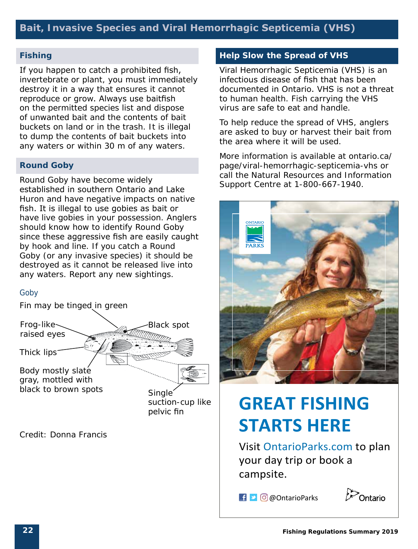#### **Fishing**

If you happen to catch a prohibited fish, invertebrate or plant, you must immediately destroy it in a way that ensures it cannot reproduce or grow. Always use baitfish on the permitted species list and dispose of unwanted bait and the contents of bait buckets on land or in the trash. It is illegal to dump the contents of bait buckets into any waters or within 30 m of any waters.

#### **Round Goby**

Round Goby have become widely established in southern Ontario and Lake Huron and have negative impacts on native fish. It is illegal to use gobies as bait or have live gobies in your possession. Anglers should know how to identify Round Goby since these aggressive fish are easily caught by hook and line. If you catch a Round Goby (or any invasive species) it should be destroyed as it cannot be released live into any waters. Report any new sightings.

#### *Goby*

Fin may be tinged in green



*Credit: Donna Francis*

#### **Help Slow the Spread of VHS**

Viral Hemorrhagic Septicemia (VHS) is an infectious disease of fish that has been documented in Ontario. VHS is not a threat to human health. Fish carrying the VHS virus are safe to eat and handle.

To help reduce the spread of VHS, anglers are asked to buy or harvest their bait from the area where it will be used.

More information is available at ontario.ca/ page/viral-hemorrhagic-septicemia-vhs or call the Natural Resources and Information Support Centre at 1-800-667-1940.



## **GREAT FISHING STARTS HERE**

Visit OntarioParks.com to plan your day trip or book a campsite.

**E D** @ OntarioParks